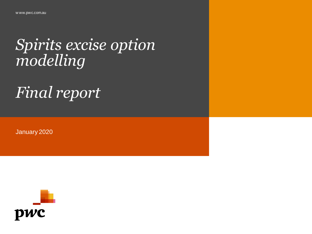# *Spirits excise option modelling*

# *Final report*

January 2020

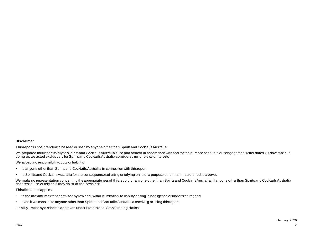#### **Disclaimer**

This report is not intended to be read or used by anyone other than Spirits and Cocktails Australia.

We prepared thisreport solely for Spiritsand Cocktails Australia's use and benefit in accordance with and for the purpose set out in our engagement letter dated 20 November. In<br>doing so, we acted exclusively for Spiritsand

We accept no responsibility, duty or liability:

- to anyone other than Spirits and Cocktails Australia in connection with this report
- to Spirits and Cocktails Australia for the consequences of using or relying on it for a purpose other than that referred to a bove.

We make no representation conceming the appropriateness of this report for anyone other than Spirits and Cocktails Australia . If anyone other than Spirits and Cocktails Australia chooses to use or rely on it they do so at their own risk.

This disclaimer applies:

- to the maximum extent permitted by law and, without limitation, to liability arising in negligence or under statute; and
- even if we consent to anyone other than Spirits and Cocktails Australia a receiving or using this report.

Liability limited by a scheme approved under Professional Standards legislation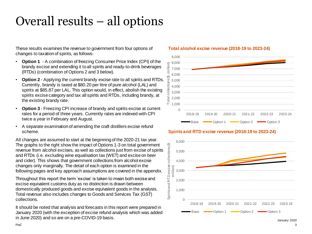### Overall results – all options

These results examines the revenue to government from four options of changes to taxation of spirits, as follows:

- **Option 1**  A combination of freezing Consumer Price Index (CPI) of the brandy excise and extending it to all spirits and ready-to-drink beverages (RTDs) (combination of Options 2 and 3 below).
- **Option 2** Applying the current brandy excise rate to all spirits and RTDs. Currently, brandy is taxed at \$80.20 per litre of pure alcohol (LAL) and spirits at \$85.87 per LAL. This option would, in effect, abolish the existing spirits excise category and tax all spirits and RTDs, including brandy, at the existing brandy rate.
- **Option 3**  Freezing CPI increase of brandy and spirits excise at current rates for a period of three years. Currently rates are indexed with CPI twice a year in February and August.
- A separate examination of amending the craft distillers excise refund scheme.

All changes are assumed to start at the beginning of the 2020-21 tax year. The graphs to the right show the impact of Options 1-3 on total government revenue from alcohol excises, as well as collections just from excise of spirits and RTDs (i.e. excluding wine equalisation tax (WET) and excise on beer and cider). This shows that government collections from alcohol excise changes only marginally. The detail of each option is examined in the following pages and key approach assumptions are covered in the appendix.

Throughout this report the term 'excise' is taken to mean both excise and excise equivalent customs duty as no distinction is drawn between domestically produced goods and excise equivalent goods in the analysis. Total revenue also includes changes to Goods and Services Tax (GST) collections.

It should be noted that analysis and forecasts in this report were prepared in January 2020 (with the exception of excise refund analysis which was added in June 2020) and so are on a pre-COVID-19 basis. In the set of the set of the set of the set of the set of the set of the set of the set of the set of the set of the set of the set of the set of the set of the set of the

#### **Total alcohol excise revenue (2018-19 to 2023-24)**



#### **Spirits and RTD excise revenue (2018-19 to 2023-24)**

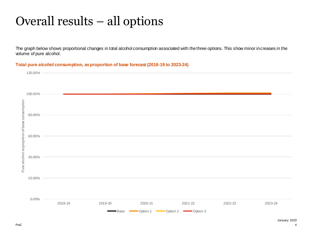### Overall results – all options

The graph below shows proportional changes in total alcohol consumption associated with the three options. This show minor increases in the volume of pure alcohol.

#### **Total pure alcohol consumption, as proportion of base forecast (2018-19 to 2023-24)**

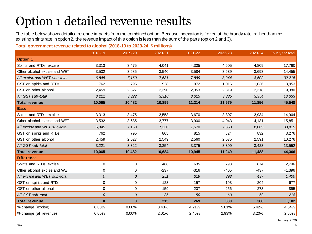## Option 1 detailed revenue results

The table below shows detailed revenue impacts from the combined option. Because indexation is frozen at the brandy rate, rather than the existing spirits rate in option 2, the revenue impact of this option is less than the sum of the parts (option 2 and 3).

### **Total government revenue related to alcohol (2018-19 to 2023-24, \$ millions)**

|                              | 2018-19        | 2019-20    | 2020-21 | 2021-22 | 2022-23 | 2023-24 | Four year total |
|------------------------------|----------------|------------|---------|---------|---------|---------|-----------------|
| <b>Option 1</b>              |                |            |         |         |         |         |                 |
| Spirits and RTDs excise      | 3,313          | 3,475      | 4,041   | 4,305   | 4,605   | 4,809   | 17,760          |
| Other alcohol excise and WET | 3,532          | 3,685      | 3,540   | 3.584   | 3,639   | 3,693   | 14,455          |
| All excise and WET sub-total | 6,845          | 7,160      | 7,581   | 7,889   | 8,244   | 8,502   | 32,215          |
| GST on spirits and RTDs      | 762            | 795        | 928     | 972     | 1,016   | 1,036   | 3,953           |
| GST on other alcohol         | 2,459          | 2,527      | 2,390   | 2,353   | 2,319   | 2,318   | 9,380           |
| All GST sub-total            | 3,221          | 3,322      | 3,318   | 3,325   | 3,335   | 3,354   | 13,333          |
| <b>Total revenue</b>         | 10,065         | 10,482     | 10,899  | 11,214  | 11,579  | 11,856  | 45,548          |
| <b>Base</b>                  |                |            |         |         |         |         |                 |
| Spirits and RTDs excise      | 3,313          | 3,475      | 3,553   | 3,670   | 3,807   | 3,934   | 14,964          |
| Other alcohol excise and WET | 3,532          | 3,685      | 3,777   | 3,900   | 4,043   | 4,131   | 15,851          |
| All excise and WET sub-total | 6,845          | 7,160      | 7,330   | 7,570   | 7,850   | 8,065   | 30,815          |
| GST on spirits and RTDs      | 762            | 795        | 805     | 815     | 824     | 832     | 3,276           |
| GST on other alcohol         | 2,459          | 2,527      | 2,549   | 2,560   | 2,575   | 2,591   | 10,276          |
| All GST sub-total            | 3,221          | 3,322      | 3,354   | 3,375   | 3,399   | 3,423   | 13,552          |
| <b>Total revenue</b>         | 10,065         | 10,482     | 10,684  | 10,945  | 11,249  | 11,488  | 44,366          |
| <b>Difference</b>            |                |            |         |         |         |         |                 |
| Spirits and RTDs excise      | $\mathbf 0$    | 0          | 488     | 635     | 798     | 874     | 2,796           |
| Other alcohol excise and WET | $\mathbf 0$    | 0          | $-237$  | $-316$  | $-405$  | $-437$  | $-1,396$        |
| All excise and WET sub-total | $\overline{O}$ | ${\cal O}$ | 251     | 319     | 393     | 437     | 1,400           |
| GST on spirits and RTDs      | 0              | 0          | 123     | 157     | 193     | 204     | 677             |
| GST on other alcohol         | $\mathbf 0$    | 0          | $-159$  | $-207$  | $-256$  | $-273$  | $-895$          |
| All GST sub-total            | $\overline{O}$ | 0          | $-36$   | $-50$   | $-63$   | $-69$   | $-218$          |
| <b>Total revenue</b>         | $\bf{0}$       | $\bf{0}$   | 215     | 269     | 330     | 368     | 1,182           |
| % change (excise)            | 0.00%          | 0.00%      | 3.43%   | 4.21%   | 5.01%   | 5.42%   | 4.54%           |
| % change (all revenue)       | 0.00%          | 0.00%      | 2.01%   | 2.46%   | 2.93%   | 3.20%   | 2.66%           |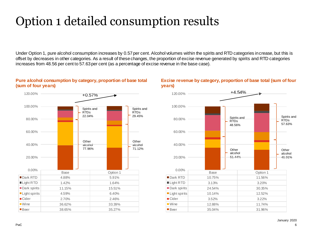## Option 1 detailed consumption results

Under Option 1, pure alcohol consumption increases by 0.57 per cent. Alcohol volumes within the spirits and RTD categories increase, but this is offset by decreases in other categories. As a result of these changes, the proportion of excise revenue generated by spirits and RTD categories increases from 48.56 per cent to 57.63 per cent (as a percentage of excise revenue in the base case).

### **Pure alcohol consumption by category, proportion of base total (sum of four years)**



#### **Excise revenue by category, proportion of base total (sum of four years)**

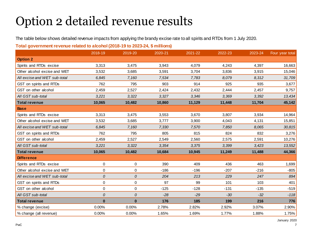### Option 2 detailed revenue results

The table below shows detailed revenue impacts from applying the brandy excise rate to all spirits and RTDs from 1 July 2020.

### **Total government revenue related to alcohol (2018-19 to 2023-24, \$ millions)**

|                              | 2018-19        | 2019-20    | 2020-21 | 2021-22 | 2022-23 | 2023-24 | Four year total |       |       |        |
|------------------------------|----------------|------------|---------|---------|---------|---------|-----------------|-------|-------|--------|
| <b>Option 2</b>              |                |            |         |         |         |         |                 |       |       |        |
| Spirits and RTDs excise      | 3,313          | 3,475      | 3,943   | 4,079   |         |         |                 | 4,243 | 4,397 | 16,663 |
| Other alcohol excise and WET | 3,532          | 3,685      | 3,591   | 3,704   | 3,836   | 3,915   | 15,046          |       |       |        |
| All excise and WET sub-total | 6,845          | 7,160      | 7,534   | 7.783   | 8.079   | 8,312   | 31,709          |       |       |        |
| GST on spirits and RTDs      | 762            | 795        | 903     | 914     | 925     | 935     | 3,677           |       |       |        |
| GST on other alcohol         | 2,459          | 2,527      | 2,424   | 2,432   | 2,444   | 2,457   | 9,757           |       |       |        |
| All GST sub-total            | 3,221          | 3,322      | 3,327   | 3,346   | 3,369   | 3,392   | 13,434          |       |       |        |
| <b>Total revenue</b>         | 10,065         | 10,482     | 10,860  | 11,129  | 11,448  | 11,704  | 45,142          |       |       |        |
| <b>Base</b>                  |                |            |         |         |         |         |                 |       |       |        |
| Spirits and RTDs excise      | 3,313          | 3,475      | 3,553   | 3,670   | 3,807   | 3,934   | 14,964          |       |       |        |
| Other alcohol excise and WET | 3,532          | 3,685      | 3,777   | 3,900   | 4,043   | 4,131   | 15,851          |       |       |        |
| All excise and WET sub-total | 6,845          | 7,160      | 7,330   | 7,570   | 7,850   | 8,065   | 30,815          |       |       |        |
| GST on spirits and RTDs      | 762            | 795        | 805     | 815     | 824     | 832     | 3,276           |       |       |        |
| GST on other alcohol         | 2,459          | 2,527      | 2,549   | 2,560   | 2,575   | 2,591   | 10,276          |       |       |        |
| All GST sub-total            | 3,221          | 3,322      | 3.354   | 3,375   | 3,399   | 3,423   | 13,552          |       |       |        |
| <b>Total revenue</b>         | 10,065         | 10,482     | 10,684  | 10,945  | 11,249  | 11,488  | 44,366          |       |       |        |
| <b>Difference</b>            |                |            |         |         |         |         |                 |       |       |        |
| Spirits and RTDs excise      | $\Omega$       | 0          | 390     | 409     | 436     | 463     | 1,699           |       |       |        |
| Other alcohol excise and WET | $\mathbf 0$    | 0          | $-186$  | $-196$  | $-207$  | $-216$  | $-805$          |       |       |        |
| All excise and WET sub-total | $\Omega$       | ${\cal O}$ | 204     | 213     | 229     | 247     | 894             |       |       |        |
| GST on spirits and RTDs      | $\mathbf 0$    | 0          | 97      | 99      | 101     | 103     | 401             |       |       |        |
| GST on other alcohol         | $\mathbf 0$    | 0          | $-125$  | $-128$  | $-131$  | $-135$  | $-519$          |       |       |        |
| All GST sub-total            | $\overline{O}$ | 0          | $-28$   | $-29$   | $-30$   | $-32$   | $-118$          |       |       |        |
| <b>Total revenue</b>         | $\bf{0}$       | $\bf{0}$   | 176     | 185     | 199     | 216     | 776             |       |       |        |
| % change (excise)            | 0.00%          | 0.00%      | 2.78%   | 2.82%   | 2.92%   | 3.07%   | 2.90%           |       |       |        |
| % change (all revenue)       | 0.00%          | 0.00%      | 1.65%   | 1.69%   | 1.77%   | 1.88%   | 1.75%           |       |       |        |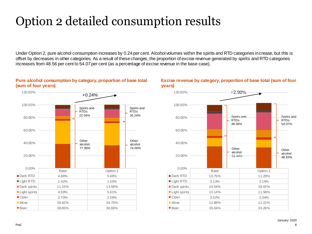### Option 2 detailed consumption results

Under Option 2, pure alcohol consumption increases by 0.24 per cent. Alcohol volumes within the spirits and RTD categories increase, but this is offset by decreases in other categories. As a result of these changes, the proportion of excise revenue generated by spirits and RTD categories increases from 48.56 per cent to 54.07 per cent (as a percentage of excise revenue in the base case).



### **Pure alcohol consumption by category, proportion of base total (sum of four years)**

#### **Excise revenue by category, proportion of base total (sum of four years)**

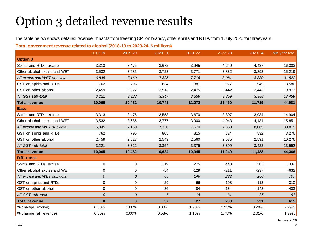### Option 3 detailed revenue results

The table below shows detailed revenue impacts from freezing CPI on brandy, other spirits and RTDs from 1 July 2020 for threeyears.

### **Total government revenue related to alcohol (2018-19 to 2023-24, \$ millions)**

|                              | 2018-19        | 2019-20     | 2020-21 | 2021-22 | 2022-23 | 2023-24 | Four year total |
|------------------------------|----------------|-------------|---------|---------|---------|---------|-----------------|
| <b>Option 3</b>              |                |             |         |         |         |         |                 |
| Spirits and RTDs excise      | 3,313          | 3,475       | 3,672   | 3,945   | 4,249   | 4,437   | 16,303          |
| Other alcohol excise and WET | 3,532          | 3,685       | 3,723   | 3,771   | 3,832   | 3,893   | 15,219          |
| All excise and WET sub-total | 6,845          | 7.160       | 7,395   | 7.716   | 8,081   | 8,330   | 31,522          |
| GST on spirits and RTDs      | 762            | 795         | 834     | 881     | 927     | 945     | 3,586           |
| GST on other alcohol         | 2,459          | 2,527       | 2,513   | 2,475   | 2,442   | 2,443   | 9,873           |
| All GST sub-total            | 3,221          | 3,322       | 3,347   | 3,356   | 3,369   | 3,388   | 13,459          |
| <b>Total revenue</b>         | 10,065         | 10,482      | 10,741  | 11,072  | 11,450  | 11,719  | 44,981          |
| <b>Base</b>                  |                |             |         |         |         |         |                 |
| Spirits and RTDs excise      | 3,313          | 3,475       | 3,553   | 3,670   | 3,807   | 3,934   | 14,964          |
| Other alcohol excise and WET | 3,532          | 3,685       | 3,777   | 3,900   | 4,043   | 4,131   | 15,851          |
| All excise and WET sub-total | 6,845          | 7,160       | 7,330   | 7,570   | 7,850   | 8,065   | 30,815          |
| GST on spirits and RTDs      | 762            | 795         | 805     | 815     | 824     | 832     | 3,276           |
| GST on other alcohol         | 2,459          | 2,527       | 2,549   | 2,560   | 2,575   | 2,591   | 10,276          |
| All GST sub-total            | 3,221          | 3,322       | 3,354   | 3,375   | 3,399   | 3,423   | 13,552          |
| <b>Total revenue</b>         | 10,065         | 10,482      | 10,684  | 10,945  | 11,249  | 11,488  | 44,366          |
| <b>Difference</b>            |                |             |         |         |         |         |                 |
| Spirits and RTDs excise      | 0              | 0           | 119     | 275     | 443     | 503     | 1,339           |
| Other alcohol excise and WET | 0              | 0           | $-54$   | $-129$  | $-211$  | $-237$  | $-632$          |
| All excise and WET sub-total | $\overline{O}$ | 0           | 65      | 146     | 232     | 266     | 707             |
| GST on spirits and RTDs      | $\mathbf 0$    | 0           | 29      | 66      | 103     | 113     | 310             |
| GST on other alcohol         | $\mathbf 0$    | $\mathbf 0$ | $-36$   | $-84$   | $-134$  | $-148$  | $-403$          |
| All GST sub-total            | $\overline{O}$ | 0           | $-7$    | $-18$   | $-31$   | $-35$   | $-93$           |
| <b>Total revenue</b>         | $\bf{0}$       | $\bf{0}$    | 57      | 127     | 200     | 231     | 615             |
| % change (excise)            | 0.00%          | 0.00%       | 0.88%   | 1.93%   | 2.95%   | 3.29%   | 2.29%           |
| % change (all revenue)       | 0.00%          | 0.00%       | 0.53%   | 1.16%   | 1.78%   | 2.01%   | 1.39%           |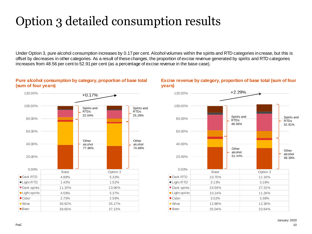## Option 3 detailed consumption results

Under Option 3, pure alcohol consumption increases by 0.17 per cent. Alcohol volumes within the spirits and RTD categories increase, but this is offset by decreases in other categories. As a result of these changes, the proportion of excise revenue generated by spirits and RTD categories increases from 48.56 per cent to 52.91 per cent (as a percentage of excise revenue in the base case).

### **Pure alcohol consumption by category, proportion of base total (sum of four years)**



#### **Excise revenue by category, proportion of base total (sum of four years)**

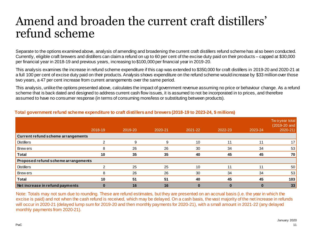### Amend and broaden the current craft distillers' refund scheme

Separate to the options examined above, analysis of amending and broadening the current craft distillers refund scheme has also been conducted. Currently, eligible craft brewers and distillers can claim a refund on up to 60 per cent of the excise duty paid on their products – capped at \$30,000 per financial year in 2018-19 and previous years, increasing to \$100,000 per financial year in 2019-20.

This analysis examines the increase in refund scheme expenditure if this cap was extended to \$350,000 for craft distillers in 2019-20 and 2020-21 at a full 100 per cent of excise duty paid on their products. Analysis shows expenditure on the refund scheme would increase by \$33 million over those two years, a 47 per cent increase from current arrangements over the same period.

This analysis, unlike the options presented above, calculates the impact of government revenue assuming no price or behaviour change. As a refund scheme that is back dated and designed to address current cash flow issues, it is assumed to not be incorporated in to prices, and therefore assumed to have no consumer response (in terms of consuming more/less or substituting between products).

|                                     | 2018-19 | 2019-20 | 2020-21 | 2021-22 | 2022-23 | 2023-24  | Two year total<br>(2019-20 and<br>$2020 - 21$ |  |  |
|-------------------------------------|---------|---------|---------|---------|---------|----------|-----------------------------------------------|--|--|
| Current refund scheme arrangements  |         |         |         |         |         |          |                                               |  |  |
| <b>Distillers</b>                   | ⌒       | 9       | 9       | 10      | 11      | 11       | 17 <sup>1</sup>                               |  |  |
| <b>Brewers</b>                      | 8       | 26      | 26      | 30      | 34      | 34       | 53                                            |  |  |
| <b>Total</b>                        | 10      | 35      | 35      | 40      | 45      | 45       | 70                                            |  |  |
| Proposed refund scheme arrangements |         |         |         |         |         |          |                                               |  |  |
| <b>Distillers</b>                   | ◠       | 25      | 25      | 10      | 11      | 11       | 50                                            |  |  |
| Brew ers                            | 8       | 26      | 26      | 30      | 34      | 34       | 53                                            |  |  |
| <b>Total</b>                        | 10      | 51      | 51      | 40      | 45      | 45       | 103                                           |  |  |
| Net increase in refund payments     |         | 16      | 16      |         |         | $\bf{0}$ | 33                                            |  |  |

#### **Total government refund scheme expenditure to craft distillers and brewers (2018-19 to 2023-24, \$ millions)**

Note: Totals may not sum due to rounding. These are refund estimates, but they are presented on an accrual basis (i.e. the year in which the excise is paid) and not when the cash refund is received, which may be delayed. On a cash basis, the vast majority of the net increase in refunds will occur in 2020-21 (delayed lump sum for 2019-20 and then monthly payments for 2020-21), with a small amount in 2021-22 (any delayed monthly payments from 2020-21).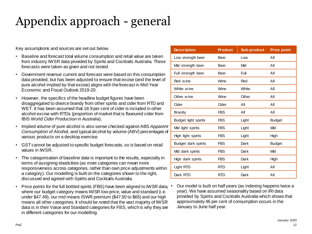# Appendix approach - general

Key assumptions and sources are set out below.

- Baseline and forecast total volume consumption and retail value are taken from industry IWSR data provided by Spirits and Cocktails Australia. These forecasts were taken as given and not tested.
- Government revenue current and forecast were based on this consumption data provided, but has been adjusted to ensure that excise (and the level of pure alcohol implied by that excise) aligns with the forecast in Mid-Year Economic and Fiscal Outlook 2019-20.
- However, the specifics of the headline budget figures have been disaggregated to divorce brandy from other spirits and cider from RTD and WET. It has been assumed that 18.9 per cent of cider is included in other alcohol excise with RTDs (proportion of market that is flavoured cider from IBIS World *Cider Production in Australia*).
- Implied volume of pure alcohol is also sense checked against ABS *Apparent Consumption of Alcohol*, and typical alcohol by volume (ABV) percentages of various products on a desktop exercise.
- GST cannot be adjusted to specific budget forecasts, so is based on retail values in IWSR.
- The categorisation of baseline data is important to the results, especially in terms of assigning elasticities (as more categories can mean more responsiveness across categories, rather than own price adjustments within a category). Our modelling is built on the categories shown to the right, discussed and agreed with Spirits and Cocktails Australia.
- Price points for the full bottled spirits (FBS) have been aligned to IWSR data, where our budget category means IWSR low-price, value and standard (i.e. under \$47.49), our mid means ISWR premium (\$47.50 to \$65) and our high means all other categories. It should be noted that the vast majority of IWSR data is in their Value and Standard categories for FBS, which is why they are in different categories for our modelling.

| <b>Description</b>   | <b>Product</b> | Sub-product | <b>Price point</b> |
|----------------------|----------------|-------------|--------------------|
| Low strength beer    | Beer           | Low         | Αll                |
| Mid strength beer    | Beer           | Mid         | Αll                |
| Full strength beer   | Beer           | Full        | Αll                |
| Red wine             | Wine           | Red         | Αll                |
| White wine           | Wine           | White       | Αll                |
| Other wine           | Wine           | Other       | Αll                |
| Cider                | Cider          | Αll         | Αll                |
| Brandy               | <b>FBS</b>     | ΑIΙ         | All                |
| Budget light spirits | <b>FBS</b>     | Light       | <b>Budget</b>      |
| Mid light spirits    | <b>FBS</b>     | Light       | Mid                |
| High light spirits   | <b>FBS</b>     | Light       | High               |
| Budget dark spirits  | <b>FBS</b>     | Dark        | <b>Budget</b>      |
| Mid dark spirits     | <b>FBS</b>     | Dark        | Mid                |
| High dark spirits    | FBS            | Dark        | High               |
| Light RTD            | <b>RTD</b>     | Light       | Αll                |
| Dark RTD             | <b>RTD</b>     | Dark        | Αll                |

• Our model is built on half years (as indexing happens twice a year). We have assumed seasonality based on IRI data provided by Spirits and Cocktails Australia which shows that approximately 46 per cent of consumption occurs in the January to June half year.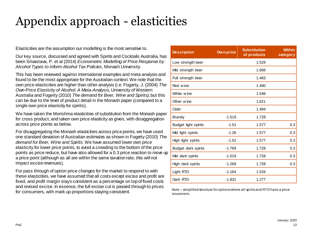## Appendix approach - elasticities

Elasticities are the assumption our modelling is the most sensitive to.

Our key source, discussed and agreed with Spirits and Cocktails Australia, has been Srivastava, P. et al (2014) *Econometric Modelling of Price Response by Alcohol Types to Inform Alcohol Tax Policies*, Monash University.

This has been reviewed against international examples and meta analysis and found to be the most appropriate for the Australian context. We note that the own price elasticities are higher than other analysis (i.e. Fogarty, J. (2004) *The Own-Price Elasticity of Alcohol: A Meta-Analysis,* University of Western Australia and Fogerty (2010) *The demand for Beer, Wine and Spirits),* but this can be due to the level of product detail in the Monash paper (compared to a single own price elasticity for spirits).

We have taken the Morishma elasticities of substitution from the Monash paper for cross product, and taken own price elasticity as given, with disaggregation across price points as below.

For disaggregating the Monash elasticities across price points, we have used one standard deviation of Australian estimates as shown in Fogerty (2010) *The demand for Beer, Wine and Spirits.* We have assumed lower own price elasticity for lower price points, to avoid a crowding to the bottom of the price points as price reduce, but have also allowed for a 0.3 price reaction to move up a price point (although as all are within the same taxation rate, this will not impact excise revenues).

For pass through of option price changes for the market to respond to with these elasticities, we have assumed that all costs except excise and profit are fixed, and profit margin stays consistent as a percentage on top of fixed costs and revised excise. In essence, the full excise cut is passed through to prices for consumers, with mark up proportions staying consistent.

| <b>Description</b>   | Own price | <b>Substitution</b><br>of products | <b>Within</b><br>category |
|----------------------|-----------|------------------------------------|---------------------------|
| Low strength beer    |           | 1.529                              |                           |
| Mid strength beer    |           | 1.666                              |                           |
| Full strength beer   |           | 1.483                              |                           |
| Red wine             |           | 1.490                              |                           |
| White wine           |           | 1.546                              |                           |
| Other wine           |           | 1.621                              |                           |
| Cider                |           | 1.494                              |                           |
| <b>Brandy</b>        | $-1.519$  | 1.728                              |                           |
| Budget light spirits | $-1.51$   | 1.577                              | 0.3                       |
| Mid light spirits    | $-1.26$   | 1.577                              | 0.3                       |
| High light spirits   | $-1.01$   | 1.577                              | 0.3                       |
| Budget dark spirits  | $-1.769$  | 1.728                              | 0.3                       |
| Mid dark spirits     | $-1.519$  | 1.728                              | 0.3                       |
| High dark spirits    | $-1.269$  | 1.728                              | 0.3                       |
| Light RTD            | $-1.164$  | 1.534                              |                           |
| Dark RTD             | $-1.831$  | 1.277                              |                           |

Note – simplified structure for options where all spirits and RTD have a price movement.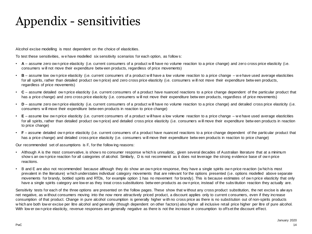### Appendix - sensitivities

Alcohol excise modelling is most dependent on the choice of elasticities.

To test these sensitivities, w e have modelled six sensitivity scenarios for each option, as follow s:

- **A** assume zero ow n price elasticity (i.e. current consumers of a product w ill have no volume reaction to a price change) and zero cross price elasticity (i.e. consumers w ill not move their expenditure betw een products, regardless of price movements)
- **B** assume low ow n price elasticity (i.e. current consumers of a product w ill have a low volume reaction to a price change w e have used average elasticities for all spirits, rather than detailed product ow n price) and zero cross price elasticity (i.e. consumers will not move their expenditure betw een products, regardless of price movements)
- **C** assume detailed ow n price elasticity (i.e. current consumers of a product have nuanced reactions to a price change dependent of the particular product that has a price change) and zero cross price elasticity (i.e. consumers will not move their expenditure betw een products, regardless of price movements)
- **D** assume zero ow n price elasticity (i.e. current consumers of a product w ill have no volume reaction to a price change) and detailed cross price elasticity (i.e. consumers w ill move their expenditure betw een products in reaction to price change)
- **E** assume low ow n price elasticity (i.e. current consumers of a product w ill have a low volume reaction to a price change w e have used average elasticities for all spirits, rather than detailed product ow n price) and detailed cross price elasticity (i.e. consumers will move their expenditure betw een products in reaction to price change)
- **F** assume detailed ow n price elasticity (i.e. current consumers of a product have nuanced reactions to a price change dependent of the particular product that has a price change) and detailed cross price elasticity (i.e. consumers w ill move their expenditure betw een products in reaction to price change)

Our recommended set of assumptions is F, for the follow ing reasons:

- Although A is the most conservative, is show s no consumer response w hich is unrealistic, given several decades of Australian literature that at a minimum show s an ow n price reaction for all categories of alcohol. Similarly, D is not recommend as it does not leverage the strong evidence base of ow n price reactions.
- B and E are also not recommended because although they do show an ow n price response, they have a single spirits ow n price reaction (w hich is most prevalent in the literature) w hich understates individual category movements that are relevant for the options presented (i.e. options modelled above separate movements for brandy, bottled spirits and RTDs, for example option 1 has no movement for brandy). This is because estimates of ow n price elasticity that only have a single spirits category are low er as they treat cross substitutions betw een products as own price, instead of the substitution reaction they actually are.

Sensitivity tests for each of the three options are presented on the follow pages. These show that w ithout any cross product substitution, the net excise is alw ays net negative, as w ithout consumers moving into the now more attractively priced product, a discount applies only to current consumers, even if they increase consumption of that product. Change in pure alcohol consumption is generally higher w ith no cross price as there is no substitution out of non-spirits products w hich are both low er excise per litre alcohol and generally (though dependent on other factors) also higher all inclusive retail price higher per litre of pure alcohol. With low er ow n price elasticity, revenue responses are generally negative as there is not the increase in consumption to offset the discount effect.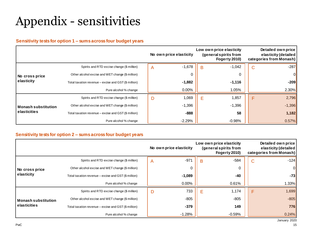### Appendix - sensitivities

#### **Sensitivity tests for option 1 – sums across four budget years**

|                                            |                                                      | No own price elasticity |          |   | Low own price elasticity<br>(general spirits from<br>Fogerty 2010) |              | Detailed own price<br>elasticity (detailed<br>categories from Monash) |
|--------------------------------------------|------------------------------------------------------|-------------------------|----------|---|--------------------------------------------------------------------|--------------|-----------------------------------------------------------------------|
|                                            | Spirits and RTD excise change (\$ million)           | A                       | $-1,678$ | B | $-1,042$                                                           | $\mathsf{C}$ | $-287$                                                                |
| No cross price<br>elasticity               | Other alcohol excise and WET change (\$ million)     |                         |          |   | 0                                                                  |              | 0                                                                     |
|                                            | Total taxation revenue – excise and GST (\$ million) |                         | $-1,882$ |   | $-1,116$                                                           |              | $-209$                                                                |
|                                            | Pure alcohol % change                                |                         | $0.00\%$ |   | 1.05%                                                              |              | 2.30%                                                                 |
|                                            | Spirits and RTD excise change (\$ million)           | D                       | 1,069    | Е | 1,857                                                              | F            | 2,796                                                                 |
| <b>Monash substitution</b><br>elasticities | Other alcohol excise and WET change (\$ million)     |                         | $-1,396$ |   | $-1,396$                                                           |              | $-1,396$                                                              |
|                                            | Total taxation revenue – excise and GST (\$ million) |                         | -888     |   | 58                                                                 |              | 1,182                                                                 |
|                                            | Pure alcohol % change                                |                         | $-2.29%$ |   | $-0.98%$                                                           |              | 0.57%                                                                 |

### **Sensitivity tests for option 2 – sums across four budget years**

|                                            |                                                        | No own price elasticity           | Low own price elasticity<br>(general spirits from<br>Fogerty 2010) | Detailed own price<br>elasticity (detailed<br>categories from Monash) |
|--------------------------------------------|--------------------------------------------------------|-----------------------------------|--------------------------------------------------------------------|-----------------------------------------------------------------------|
|                                            | Spirits and RTD excise change (\$ million)             | $-971$<br>$\overline{\mathsf{A}}$ | $-584$<br>в                                                        | $-124$<br>C                                                           |
| No cross price<br>elasticity               | Other alcohol excise and WET change (\$ million)       | 0                                 | 0                                                                  | 0                                                                     |
|                                            | Total taxation revenue $-$ excise and GST (\$ million) | $-1,089$                          | $-40$                                                              | $-73$                                                                 |
|                                            | Pure alcohol % change                                  | $0.00\%$                          | 0.61%                                                              | $1.33\%$                                                              |
|                                            | Spirits and RTD excise change (\$ million)             | 733<br>D                          | 1,174<br>Е                                                         | 1,699<br>F                                                            |
| <b>Monash substitution</b><br>elasticities | Other alcohol excise and WET change (\$ million)       | $-805$                            | $-805$                                                             | $-805$                                                                |
|                                            | Total taxation revenue – excise and GST (\$ million)   | $-379$                            | 149                                                                | 776                                                                   |
|                                            | Pure alcohol % change                                  | $-1.28%$                          | $-0.59%$                                                           | 0.24%                                                                 |

January 2020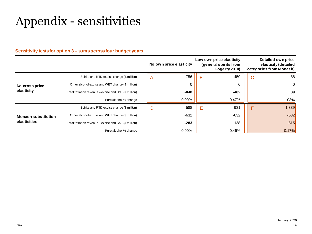### Appendix - sensitivities

#### **Sensitivity tests for option 3 – sums across four budget years**

|                                            |                                                      | No own price elasticity | Low own price elasticity<br>(general spirits from<br>Fogerty 2010) | Detailed own price<br>elasticity (detailed<br>categories from Monash) |
|--------------------------------------------|------------------------------------------------------|-------------------------|--------------------------------------------------------------------|-----------------------------------------------------------------------|
|                                            | Spirits and RTD excise change (\$ million)           | $-756$<br>A             | $-450$<br>B                                                        | $-88$<br>С                                                            |
| No cross price<br>elasticity               | Other alcohol excise and WET change (\$ million)     | 0                       | 0                                                                  |                                                                       |
|                                            | Total taxation revenue – excise and GST (\$ million) | -848                    | $-482$                                                             | 39                                                                    |
|                                            | Pure alcohol % change                                | $0.00\%$                | 0.47%                                                              | 1.03%                                                                 |
|                                            | Spirits and RTD excise change (\$ million)           | 588<br>D                | 931<br>Ε                                                           | 1,339<br>F                                                            |
| <b>Monash substitution</b><br>elasticities | Other alcohol excise and WET change (\$ million)     | $-632$                  | $-632$                                                             | $-632$                                                                |
|                                            | Total taxation revenue – excise and GST (\$ million) | $-283$                  | 128                                                                | 615                                                                   |
|                                            | Pure alcohol % change                                | $-0.99\%$               | $-0.46\%$                                                          | 0.17%                                                                 |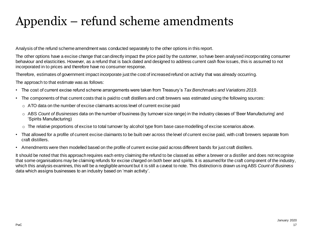### Appendix – refund scheme amendments

Analysis of the refund scheme amendment was conducted separately to the other options in this report.

The other options have a excise change that can directly impact the price paid by the customer, so have been analysed incorporating consumer behaviour and elasticities. However, as a refund that is back dated and designed to address current cash flow issues, this is assumed to not incorporated in to prices and therefore have no consumer response.

Therefore, estimates of government impact incorporate just the cost of increased refund on activity that was already occurring.

The approach to that estimate was as follows:

- The cost of current excise refund scheme arrangements were taken from Treasury's *Tax Benchmarks and Variations 2019*.
- The components of that current costs that is paid to craft distillers and craft brewers was estimated using the following sources:
	- $\circ$  ATO data on the number of excise claimants across level of current excise paid
	- o ABS *Count of Businesses* data on the number of business (by turnover size range) in the industry classes of 'Beer Manufacturing' and 'Spirits Manufacturing)
	- $\circ$  The relative proportions of excise to total turnover by alcohol type from base case modelling of excise scenarios above.
- That allowed for a profile of current excise claimants to be built over across the level of current excise paid, with craft brewers separate from craft distillers.
- Amendments were then modelled based on the profile of current excise paid across different bands for just craft distillers.

It should be noted that this approach requires each entry claiming the refund to be classed as either a brewer or a distiller and does not recognise that some organisations may be claiming refunds for excise charged on both beer and spirits. It is assumed for the craft component of the industry, which this analysis examines, this will be a negligible amount but it is still a caveat to note. This distinction is drawn us ingABS *Count of Business*  data which assigns businesses to an industry based on 'main activity'.